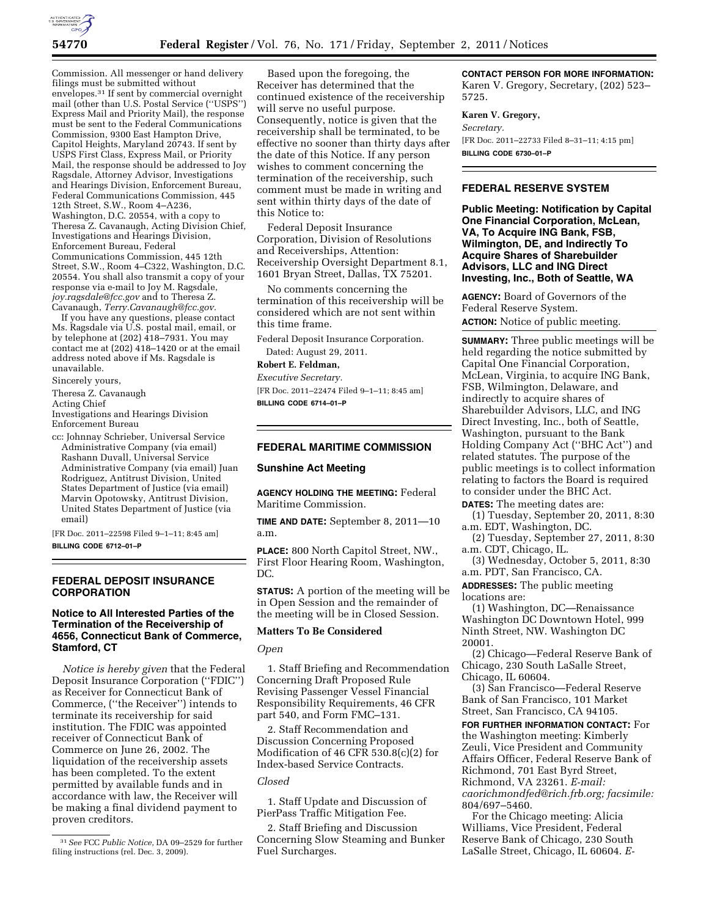

Commission. All messenger or hand delivery filings must be submitted without envelopes.31 If sent by commercial overnight mail (other than U.S. Postal Service (''USPS'') Express Mail and Priority Mail), the response must be sent to the Federal Communications Commission, 9300 East Hampton Drive, Capitol Heights, Maryland 20743. If sent by USPS First Class, Express Mail, or Priority Mail, the response should be addressed to Joy Ragsdale, Attorney Advisor, Investigations and Hearings Division, Enforcement Bureau, Federal Communications Commission, 445 12th Street, S.W., Room 4–A236, Washington, D.C. 20554, with a copy to Theresa Z. Cavanaugh, Acting Division Chief, Investigations and Hearings Division, Enforcement Bureau, Federal Communications Commission, 445 12th Street, S.W., Room 4–C322, Washington, D.C. 20554. You shall also transmit a copy of your response via e-mail to Joy M. Ragsdale, *[joy.ragsdale@fcc.gov](mailto:joy.ragsdale@fcc.gov)* and to Theresa Z. Cavanaugh, *[Terry.Cavanaugh@fcc.gov.](mailto:Terry.Cavanaugh@fcc.gov)* 

If you have any questions, please contact Ms. Ragsdale via U.S. postal mail, email, or by telephone at  $(202)$  418–7931. You may contact me at (202) 418–1420 or at the email address noted above if Ms. Ragsdale is unavailable.

Sincerely yours,

Theresa Z. Cavanaugh

Acting Chief

Investigations and Hearings Division Enforcement Bureau

cc: Johnnay Schrieber, Universal Service Administrative Company (via email) Rashann Duvall, Universal Service Administrative Company (via email) Juan Rodriguez, Antitrust Division, United States Department of Justice (via email) Marvin Opotowsky, Antitrust Division, United States Department of Justice (via email)

[FR Doc. 2011–22598 Filed 9–1–11; 8:45 am] **BILLING CODE 6712–01–P** 

## **FEDERAL DEPOSIT INSURANCE CORPORATION**

## **Notice to All Interested Parties of the Termination of the Receivership of 4656, Connecticut Bank of Commerce, Stamford, CT**

*Notice is hereby given* that the Federal Deposit Insurance Corporation (''FDIC'') as Receiver for Connecticut Bank of Commerce, (''the Receiver'') intends to terminate its receivership for said institution. The FDIC was appointed receiver of Connecticut Bank of Commerce on June 26, 2002. The liquidation of the receivership assets has been completed. To the extent permitted by available funds and in accordance with law, the Receiver will be making a final dividend payment to proven creditors.

Based upon the foregoing, the Receiver has determined that the continued existence of the receivership will serve no useful purpose. Consequently, notice is given that the receivership shall be terminated, to be effective no sooner than thirty days after the date of this Notice. If any person wishes to comment concerning the termination of the receivership, such comment must be made in writing and sent within thirty days of the date of this Notice to:

Federal Deposit Insurance Corporation, Division of Resolutions and Receiverships, Attention: Receivership Oversight Department 8.1, 1601 Bryan Street, Dallas, TX 75201.

No comments concerning the termination of this receivership will be considered which are not sent within this time frame.

Federal Deposit Insurance Corporation. Dated: August 29, 2011.

**Robert E. Feldman,** 

*Executive Secretary.* 

[FR Doc. 2011–22474 Filed 9–1–11; 8:45 am] **BILLING CODE 6714–01–P** 

# **FEDERAL MARITIME COMMISSION**

## **Sunshine Act Meeting**

**AGENCY HOLDING THE MEETING:** Federal Maritime Commission.

**TIME AND DATE:** September 8, 2011—10 a.m.

**PLACE:** 800 North Capitol Street, NW., First Floor Hearing Room, Washington, DC.

**STATUS:** A portion of the meeting will be in Open Session and the remainder of the meeting will be in Closed Session.

### **Matters To Be Considered**

#### *Open*

1. Staff Briefing and Recommendation Concerning Draft Proposed Rule Revising Passenger Vessel Financial Responsibility Requirements, 46 CFR part 540, and Form FMC–131.

2. Staff Recommendation and Discussion Concerning Proposed Modification of 46 CFR 530.8(c)(2) for Index-based Service Contracts.

## *Closed*

1. Staff Update and Discussion of PierPass Traffic Mitigation Fee.

2. Staff Briefing and Discussion Concerning Slow Steaming and Bunker Fuel Surcharges.

**CONTACT PERSON FOR MORE INFORMATION:** 

Karen V. Gregory, Secretary, (202) 523– 5725.

## **Karen V. Gregory,**

*Secretary.* 

[FR Doc. 2011–22733 Filed 8–31–11; 4:15 pm] **BILLING CODE 6730–01–P** 

## **FEDERAL RESERVE SYSTEM**

**Public Meeting: Notification by Capital One Financial Corporation, McLean, VA, To Acquire ING Bank, FSB, Wilmington, DE, and Indirectly To Acquire Shares of Sharebuilder Advisors, LLC and ING Direct Investing, Inc., Both of Seattle, WA** 

**AGENCY:** Board of Governors of the Federal Reserve System. **ACTION:** Notice of public meeting.

**SUMMARY:** Three public meetings will be held regarding the notice submitted by Capital One Financial Corporation, McLean, Virginia, to acquire ING Bank, FSB, Wilmington, Delaware, and indirectly to acquire shares of Sharebuilder Advisors, LLC, and ING Direct Investing, Inc., both of Seattle, Washington, pursuant to the Bank Holding Company Act (''BHC Act'') and related statutes. The purpose of the public meetings is to collect information relating to factors the Board is required

to consider under the BHC Act. **DATES:** The meeting dates are:

(1) Tuesday, September 20, 2011, 8:30 a.m. EDT, Washington, DC.

(2) Tuesday, September 27, 2011, 8:30 a.m. CDT, Chicago, IL.

(3) Wednesday, October 5, 2011, 8:30 a.m. PDT, San Francisco, CA.

**ADDRESSES:** The public meeting locations are:

(1) Washington, DC—Renaissance Washington DC Downtown Hotel, 999 Ninth Street, NW. Washington DC 20001.

(2) Chicago—Federal Reserve Bank of Chicago, 230 South LaSalle Street, Chicago, IL 60604.

(3) San Francisco—Federal Reserve Bank of San Francisco, 101 Market Street, San Francisco, CA 94105.

**FOR FURTHER INFORMATION CONTACT:** For the Washington meeting: Kimberly Zeuli, Vice President and Community Affairs Officer, Federal Reserve Bank of Richmond, 701 East Byrd Street, Richmond, VA 23261. *E-mail: [caorichmondfed@rich.frb.org;](mailto:caorichmondfed@rich.frb.org) facsimile:*  804/697–5460.

For the Chicago meeting: Alicia Williams, Vice President, Federal Reserve Bank of Chicago, 230 South LaSalle Street, Chicago, IL 60604. *E-*

<sup>31</sup>*See* FCC *Public Notice,* DA 09–2529 for further filing instructions (rel. Dec. 3, 2009).